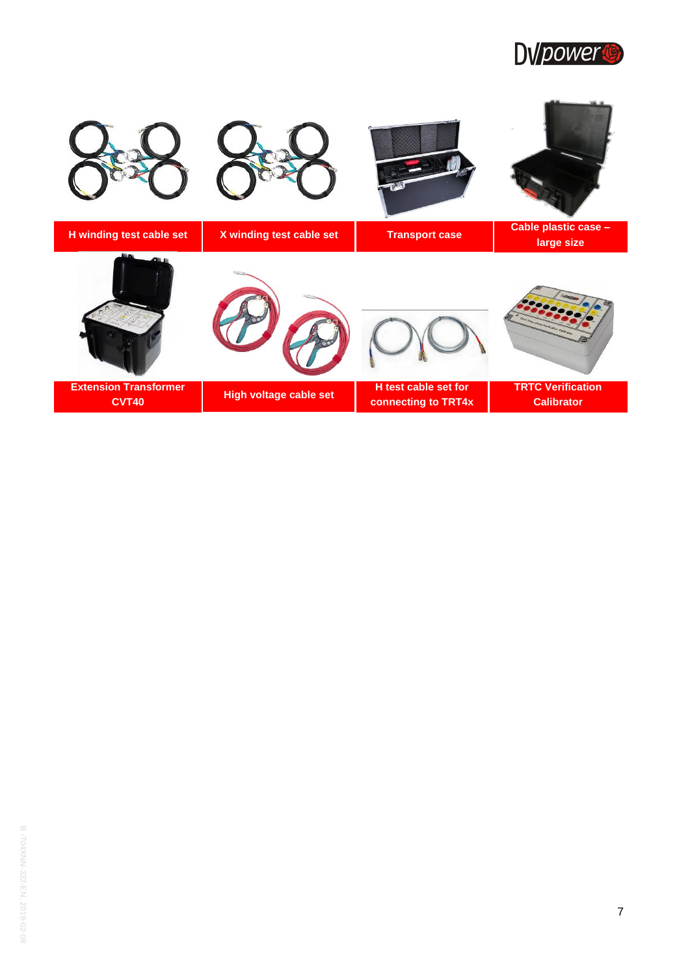

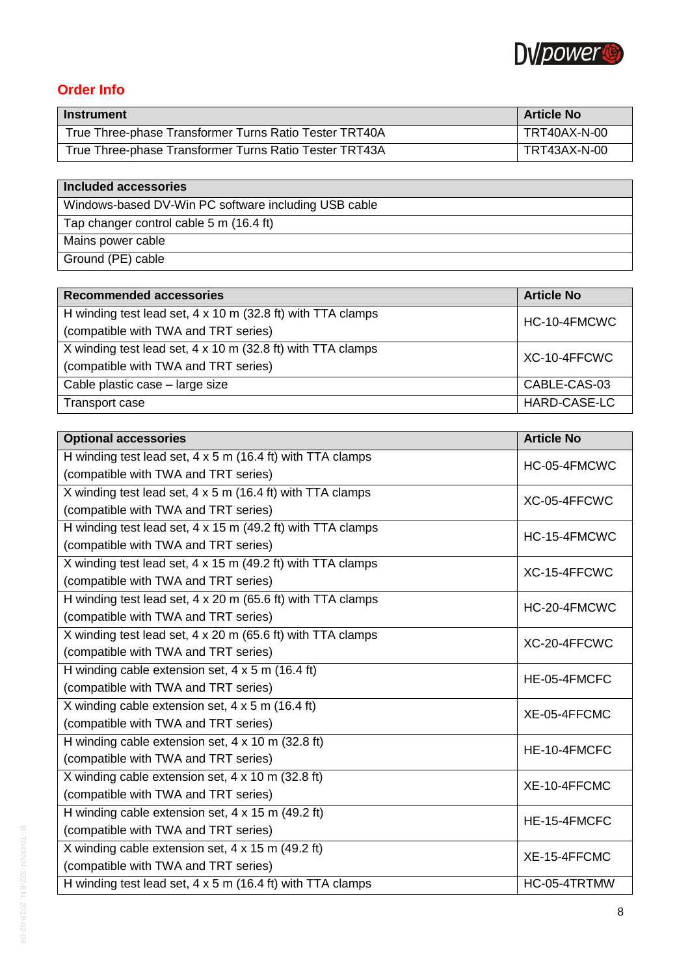

## **Order Info**

| <b>Instrument</b>                                      | <b>Article No</b> |
|--------------------------------------------------------|-------------------|
| True Three-phase Transformer Turns Ratio Tester TRT40A | TRT40AX-N-00      |
| True Three-phase Transformer Turns Ratio Tester TRT43A | TRT43AX-N-00      |

## **Included accessories**

Windows -based DV -Win PC software including USB cable

Tap changer control cable 5 m (16.4 ft)

- Mains power cable
- Ground (PE) cable

| <b>Recommended accessories</b>                              | <b>Article No</b> |
|-------------------------------------------------------------|-------------------|
| H winding test lead set, 4 x 10 m (32.8 ft) with TTA clamps | HC-10-4FMCWC      |
| (compatible with TWA and TRT series)                        |                   |
| X winding test lead set, 4 x 10 m (32.8 ft) with TTA clamps | XC-10-4FFCWC      |
| (compatible with TWA and TRT series)                        |                   |
| Cable plastic case - large size                             | CABLE-CAS-03      |
| Transport case                                              | HARD-CASE-LC      |

| <b>Optional accessories</b>                                       | <b>Article No</b> |
|-------------------------------------------------------------------|-------------------|
| H winding test lead set, $4 \times 5$ m (16.4 ft) with TTA clamps | HC-05-4FMCWC      |
| (compatible with TWA and TRT series)                              |                   |
| X winding test lead set, 4 x 5 m (16.4 ft) with TTA clamps        | XC-05-4FFCWC      |
| (compatible with TWA and TRT series)                              |                   |
| H winding test lead set, 4 x 15 m (49.2 ft) with TTA clamps       | HC-15-4FMCWC      |
| (compatible with TWA and TRT series)                              |                   |
| X winding test lead set, 4 x 15 m (49.2 ft) with TTA clamps       | XC-15-4FFCWC      |
| (compatible with TWA and TRT series)                              |                   |
| H winding test lead set, 4 x 20 m (65.6 ft) with TTA clamps       | HC-20-4FMCWC      |
| (compatible with TWA and TRT series)                              |                   |
| X winding test lead set, 4 x 20 m (65.6 ft) with TTA clamps       | XC-20-4FFCWC      |
| (compatible with TWA and TRT series)                              |                   |
| H winding cable extension set, $4 \times 5$ m (16.4 ft)           | HE-05-4FMCFC      |
| (compatible with TWA and TRT series)                              |                   |
| X winding cable extension set, $4 \times 5$ m (16.4 ft)           | XE-05-4FFCMC      |
| (compatible with TWA and TRT series)                              |                   |
| H winding cable extension set, 4 x 10 m (32.8 ft)                 | HE-10-4FMCFC      |
| (compatible with TWA and TRT series)                              |                   |
| X winding cable extension set, 4 x 10 m (32.8 ft)                 | XE-10-4FFCMC      |
| (compatible with TWA and TRT series)                              |                   |
| H winding cable extension set, 4 x 15 m (49.2 ft)                 | HE-15-4FMCFC      |
| (compatible with TWA and TRT series)                              |                   |
| X winding cable extension set, 4 x 15 m (49.2 ft)                 | XE-15-4FFCMC      |
| (compatible with TWA and TRT series)                              |                   |
| H winding test lead set, $4 \times 5$ m (16.4 ft) with TTA clamps | HC-05-4TRTMW      |